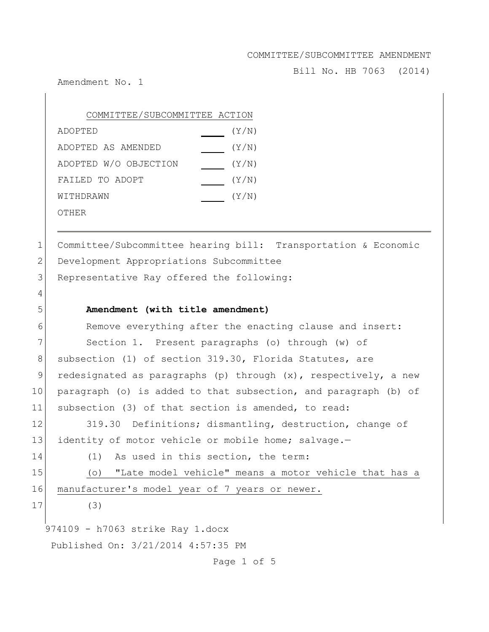Bill No. HB 7063 (2014)

Amendment No. 1

| COMMITTEE/SUBCOMMITTEE ACTION |       |
|-------------------------------|-------|
| ADOPTED                       | (Y/N) |
| ADOPTED AS AMENDED            | (Y/N) |
| ADOPTED W/O OBJECTION         | (Y/N) |
| FAILED TO ADOPT               | (Y/N) |
| WITHDRAWN                     | (Y/N) |
| OTHER                         |       |

1 Committee/Subcommittee hearing bill: Transportation & Economic 2 Development Appropriations Subcommittee 3 Representative Ray offered the following:

## 5 **Amendment (with title amendment)**

6 Remove everything after the enacting clause and insert: 7 Section 1. Present paragraphs (o) through (w) of 8 subsection (1) of section 319.30, Florida Statutes, are 9 redesignated as paragraphs (p) through (x), respectively, a new 10 paragraph (o) is added to that subsection, and paragraph (b) of 11 subsection (3) of that section is amended, to read:

12 319.30 Definitions; dismantling, destruction, change of 13 identity of motor vehicle or mobile home; salvage.-

14 (1) As used in this section, the term:

15 (o) "Late model vehicle" means a motor vehicle that has a 16 manufacturer's model year of 7 years or newer.

17 (3)

4

974109 - h7063 strike Ray 1.docx Published On: 3/21/2014 4:57:35 PM

Page 1 of 5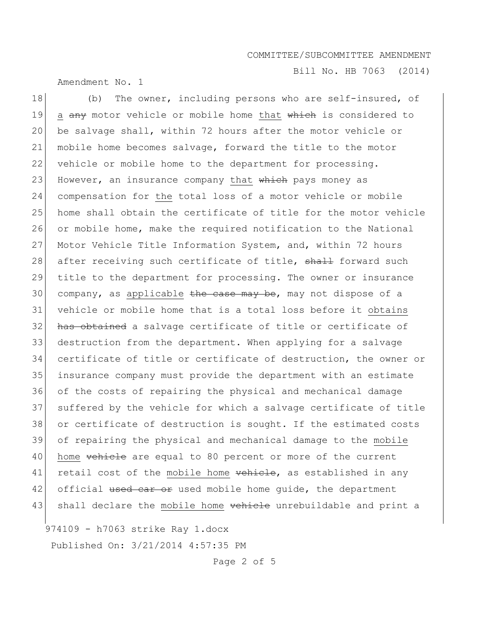Amendment No. 1

Bill No. HB 7063 (2014)

18 (b) The owner, including persons who are self-insured, of 19 a any motor vehicle or mobile home that which is considered to 20 be salvage shall, within 72 hours after the motor vehicle or 21 mobile home becomes salvage, forward the title to the motor 22 vehicle or mobile home to the department for processing. 23 However, an insurance company that which pays money as 24 compensation for the total loss of a motor vehicle or mobile 25 home shall obtain the certificate of title for the motor vehicle 26 or mobile home, make the required notification to the National 27 Motor Vehicle Title Information System, and, within 72 hours 28 after receiving such certificate of title, shall forward such 29 title to the department for processing. The owner or insurance 30 company, as applicable the case may be, may not dispose of a 31 vehicle or mobile home that is a total loss before it obtains 32 has obtained a salvage certificate of title or certificate of 33 destruction from the department. When applying for a salvage 34 certificate of title or certificate of destruction, the owner or 35 insurance company must provide the department with an estimate 36 of the costs of repairing the physical and mechanical damage 37 suffered by the vehicle for which a salvage certificate of title 38 or certificate of destruction is sought. If the estimated costs 39 of repairing the physical and mechanical damage to the mobile 40 home vehicle are equal to 80 percent or more of the current 41 retail cost of the mobile home vehicle, as established in any 42 official used car or used mobile home quide, the department 43 shall declare the mobile home vehicle unrebuildable and print a

974109 - h7063 strike Ray 1.docx

Published On: 3/21/2014 4:57:35 PM

Page 2 of 5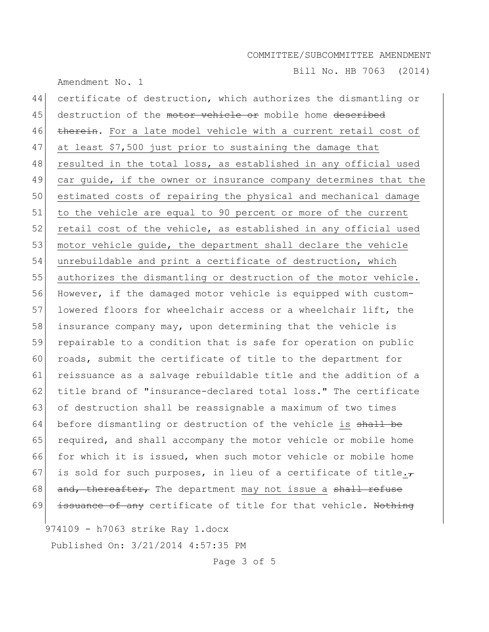Bill No. HB 7063 (2014)

44 certificate of destruction, which authorizes the dismantling or 45 destruction of the motor vehicle or mobile home described 46 therein. For a late model vehicle with a current retail cost of 47 at least \$7,500 just prior to sustaining the damage that 48 resulted in the total loss, as established in any official used 49 car guide, if the owner or insurance company determines that the 50 estimated costs of repairing the physical and mechanical damage 51 to the vehicle are equal to 90 percent or more of the current 52 retail cost of the vehicle, as established in any official used 53 motor vehicle guide, the department shall declare the vehicle 54 unrebuildable and print a certificate of destruction, which 55 authorizes the dismantling or destruction of the motor vehicle. 56 However, if the damaged motor vehicle is equipped with custom-57 lowered floors for wheelchair access or a wheelchair lift, the 58 insurance company may, upon determining that the vehicle is 59 repairable to a condition that is safe for operation on public 60 roads, submit the certificate of title to the department for 61 reissuance as a salvage rebuildable title and the addition of a 62 title brand of "insurance-declared total loss." The certificate 63 of destruction shall be reassignable a maximum of two times 64 before dismantling or destruction of the vehicle is shall be 65 required, and shall accompany the motor vehicle or mobile home 66 for which it is issued, when such motor vehicle or mobile home 67 is sold for such purposes, in lieu of a certificate of title. $\tau$ 68 and, thereafter, The department may not issue a shall refuse 69 issuance of any certificate of title for that vehicle. Nothing

974109 - h7063 strike Ray 1.docx

Amendment No. 1

Published On: 3/21/2014 4:57:35 PM

Page 3 of 5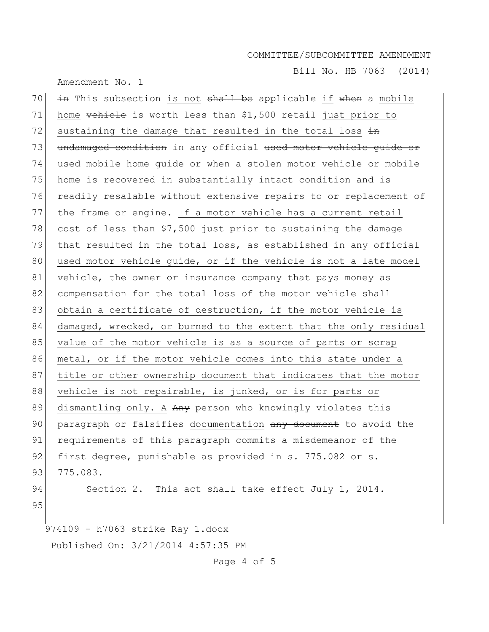Bill No. HB 7063 (2014)

Amendment No. 1

974109 - h7063 strike Ray 1.docx Published On: 3/21/2014 4:57:35 PM 70  $\frac{1}{2}$  in This subsection is not shall be applicable if when a mobile 71 home  $\overline{vethile}$  is worth less than \$1,500 retail just prior to 72 sustaining the damage that resulted in the total loss  $\frac{1}{2}$ 73 undamaged condition in any official used motor vehicle guide or 74 used mobile home guide or when a stolen motor vehicle or mobile 75 home is recovered in substantially intact condition and is 76 readily resalable without extensive repairs to or replacement of 77 the frame or engine. If a motor vehicle has a current retail 78 cost of less than  $$7,500$  just prior to sustaining the damage 79 that resulted in the total loss, as established in any official 80 used motor vehicle guide, or if the vehicle is not a late model 81 vehicle, the owner or insurance company that pays money as 82 compensation for the total loss of the motor vehicle shall 83 obtain a certificate of destruction, if the motor vehicle is 84 damaged, wrecked, or burned to the extent that the only residual 85 value of the motor vehicle is as a source of parts or scrap 86 metal, or if the motor vehicle comes into this state under a 87 title or other ownership document that indicates that the motor 88 vehicle is not repairable, is junked, or is for parts or 89 dismantling only. A Any person who knowingly violates this 90 paragraph or falsifies documentation any document to avoid the 91 requirements of this paragraph commits a misdemeanor of the 92 first degree, punishable as provided in s. 775.082 or s. 93 775.083. 94 Section 2. This act shall take effect July 1, 2014. 95

Page 4 of 5